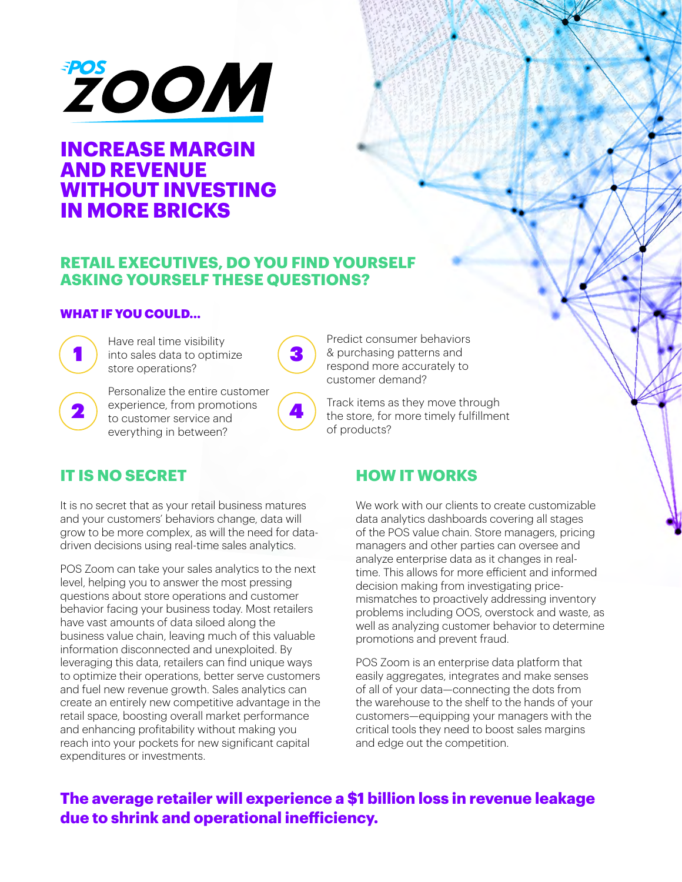

# **INCREASE MARGIN AND REVENUE WITHOUT INVESTING IN MORE BRICKS**

### **RETAIL EXECUTIVES, DO YOU FIND YOURSELF ASKING YOURSELF THESE QUESTIONS?**

#### WHAT IF YOU COULD...



1 ) into sales data to optimize (3 Have real time visibility store operations?



Personalize the entire customer experience, from promotions to customer service and everything in between?



## **IT IS NO SECRET**

It is no secret that as your retail business matures and your customers' behaviors change, data will grow to be more complex, as will the need for datadriven decisions using real-time sales analytics.

POS Zoom can take your sales analytics to the next level, helping you to answer the most pressing questions about store operations and customer behavior facing your business today. Most retailers have vast amounts of data siloed along the business value chain, leaving much of this valuable information disconnected and unexploited. By leveraging this data, retailers can find unique ways to optimize their operations, better serve customers and fuel new revenue growth. Sales analytics can create an entirely new competitive advantage in the retail space, boosting overall market performance and enhancing profitability without making you reach into your pockets for new significant capital expenditures or investments.

Predict consumer behaviors & purchasing patterns and respond more accurately to customer demand?

Track items as they move through the store, for more timely fulfillment of products?

### **HOW IT WORKS**

We work with our clients to create customizable data analytics dashboards covering all stages of the POS value chain. Store managers, pricing managers and other parties can oversee and analyze enterprise data as it changes in realtime. This allows for more efficient and informed decision making from investigating pricemismatches to proactively addressing inventory problems including OOS, overstock and waste, as well as analyzing customer behavior to determine promotions and prevent fraud.

POS Zoom is an enterprise data platform that easily aggregates, integrates and make senses of all of your data—connecting the dots from the warehouse to the shelf to the hands of your customers—equipping your managers with the critical tools they need to boost sales margins and edge out the competition.

### **The average retailer will experience a \$1 billion loss in revenue leakage due to shrink and operational inefficiency.**